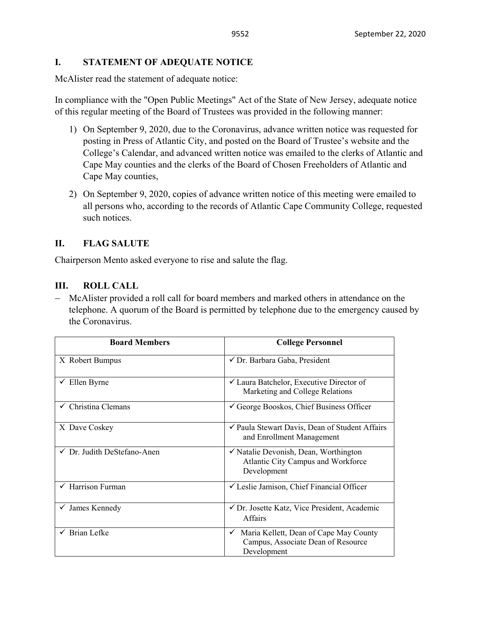# **I. STATEMENT OF ADEQUATE NOTICE**

McAlister read the statement of adequate notice:

In compliance with the "Open Public Meetings" Act of the State of New Jersey, adequate notice of this regular meeting of the Board of Trustees was provided in the following manner:

- 1) On September 9, 2020, due to the Coronavirus, advance written notice was requested for posting in Press of Atlantic City, and posted on the Board of Trustee's website and the College's Calendar, and advanced written notice was emailed to the clerks of Atlantic and Cape May counties and the clerks of the Board of Chosen Freeholders of Atlantic and Cape May counties,
- 2) On September 9, 2020, copies of advance written notice of this meeting were emailed to all persons who, according to the records of Atlantic Cape Community College, requested such notices.

# **II. FLAG SALUTE**

Chairperson Mento asked everyone to rise and salute the flag.

# **III. ROLL CALL**

− McAlister provided a roll call for board members and marked others in attendance on the telephone. A quorum of the Board is permitted by telephone due to the emergency caused by the Coronavirus.

| <b>Board Members</b>           | <b>College Personnel</b>                                                                                    |  |
|--------------------------------|-------------------------------------------------------------------------------------------------------------|--|
| X Robert Bumpus                | $\checkmark$ Dr. Barbara Gaba, President                                                                    |  |
| $\checkmark$ Ellen Byrne       | $\checkmark$ Laura Batchelor, Executive Director of<br>Marketing and College Relations                      |  |
| $\checkmark$ Christina Clemans | $\checkmark$ George Booskos, Chief Business Officer                                                         |  |
| X Dave Coskey                  | ✔ Paula Stewart Davis, Dean of Student Affairs<br>and Enrollment Management                                 |  |
| √ Dr. Judith DeStefano-Anen    | $\checkmark$ Natalie Devonish, Dean, Worthington<br>Atlantic City Campus and Workforce<br>Development       |  |
| Harrison Furman                | √ Leslie Jamison, Chief Financial Officer                                                                   |  |
| $\checkmark$ James Kennedy     | ✔ Dr. Josette Katz, Vice President, Academic<br>Affairs                                                     |  |
| $\checkmark$ Brian Lefke       | Maria Kellett, Dean of Cape May County<br>$\checkmark$<br>Campus, Associate Dean of Resource<br>Development |  |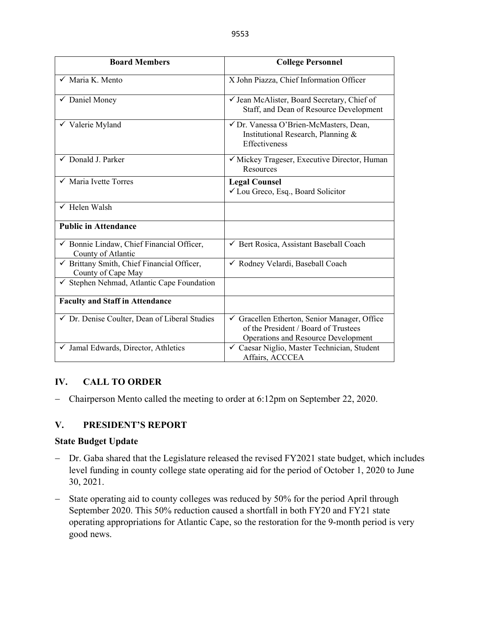| <b>Board Members</b>                                             | <b>College Personnel</b>                                                                                                  |  |
|------------------------------------------------------------------|---------------------------------------------------------------------------------------------------------------------------|--|
| $\checkmark$ Maria K. Mento                                      | X John Piazza, Chief Information Officer                                                                                  |  |
| $\overline{\smash[b]{\checkmark}}\,$ Daniel Money                | √ Jean McAlister, Board Secretary, Chief of<br>Staff, and Dean of Resource Development                                    |  |
| $\overline{\smash{\checkmark}}$ Valerie Myland                   | √ Dr. Vanessa O'Brien-McMasters, Dean,<br>Institutional Research, Planning &<br>Effectiveness                             |  |
| $\checkmark$ Donald J. Parker                                    | √ Mickey Trageser, Executive Director, Human<br>Resources                                                                 |  |
| $\checkmark$ Maria Ivette Torres                                 | <b>Legal Counsel</b><br>✔ Lou Greco, Esq., Board Solicitor                                                                |  |
| $\checkmark$ Helen Walsh                                         |                                                                                                                           |  |
| <b>Public in Attendance</b>                                      |                                                                                                                           |  |
| √ Bonnie Lindaw, Chief Financial Officer,<br>County of Atlantic  | ← Bert Rosica, Assistant Baseball Coach                                                                                   |  |
| √ Brittany Smith, Chief Financial Officer,<br>County of Cape May | √ Rodney Velardi, Baseball Coach                                                                                          |  |
| √ Stephen Nehmad, Atlantic Cape Foundation                       |                                                                                                                           |  |
| <b>Faculty and Staff in Attendance</b>                           |                                                                                                                           |  |
| √ Dr. Denise Coulter, Dean of Liberal Studies                    | Gracellen Etherton, Senior Manager, Office<br>of the President / Board of Trustees<br>Operations and Resource Development |  |
| Jamal Edwards, Director, Athletics<br>✓                          | ✓ Caesar Niglio, Master Technician, Student<br>Affairs, ACCCEA                                                            |  |

# **IV. CALL TO ORDER**

− Chairperson Mento called the meeting to order at 6:12pm on September 22, 2020.

# **V. PRESIDENT'S REPORT**

#### **State Budget Update**

- − Dr. Gaba shared that the Legislature released the revised FY2021 state budget, which includes level funding in county college state operating aid for the period of October 1, 2020 to June 30, 2021.
- − State operating aid to county colleges was reduced by 50% for the period April through September 2020. This 50% reduction caused a shortfall in both FY20 and FY21 state operating appropriations for Atlantic Cape, so the restoration for the 9-month period is very good news.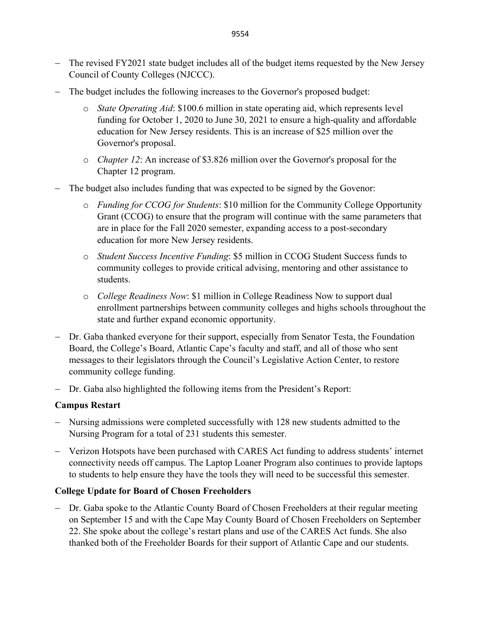- − The revised FY2021 state budget includes all of the budget items requested by the New Jersey Council of County Colleges (NJCCC).
- − The budget includes the following increases to the Governor's proposed budget:
	- o *State Operating Aid*: \$100.6 million in state operating aid, which represents level funding for October 1, 2020 to June 30, 2021 to ensure a high-quality and affordable education for New Jersey residents. This is an increase of \$25 million over the Governor's proposal.
	- o *Chapter 12*: An increase of \$3.826 million over the Governor's proposal for the Chapter 12 program.
- − The budget also includes funding that was expected to be signed by the Govenor:
	- o *Funding for CCOG for Students*: \$10 million for the Community College Opportunity Grant (CCOG) to ensure that the program will continue with the same parameters that are in place for the Fall 2020 semester, expanding access to a post-secondary education for more New Jersey residents.
	- o *Student Success Incentive Funding*: \$5 million in CCOG Student Success funds to community colleges to provide critical advising, mentoring and other assistance to students.
	- o *College Readiness Now*: \$1 million in College Readiness Now to support dual enrollment partnerships between community colleges and highs schools throughout the state and further expand economic opportunity.
- − Dr. Gaba thanked everyone for their support, especially from Senator Testa, the Foundation Board, the College's Board, Atlantic Cape's faculty and staff, and all of those who sent messages to their legislators through the Council's Legislative Action Center, to restore community college funding.
- − Dr. Gaba also highlighted the following items from the President's Report:

# **Campus Restart**

- − Nursing admissions were completed successfully with 128 new students admitted to the Nursing Program for a total of 231 students this semester.
- − Verizon Hotspots have been purchased with CARES Act funding to address students' internet connectivity needs off campus. The Laptop Loaner Program also continues to provide laptops to students to help ensure they have the tools they will need to be successful this semester.

# **College Update for Board of Chosen Freeholders**

− Dr. Gaba spoke to the Atlantic County Board of Chosen Freeholders at their regular meeting on September 15 and with the Cape May County Board of Chosen Freeholders on September 22. She spoke about the college's restart plans and use of the CARES Act funds. She also thanked both of the Freeholder Boards for their support of Atlantic Cape and our students.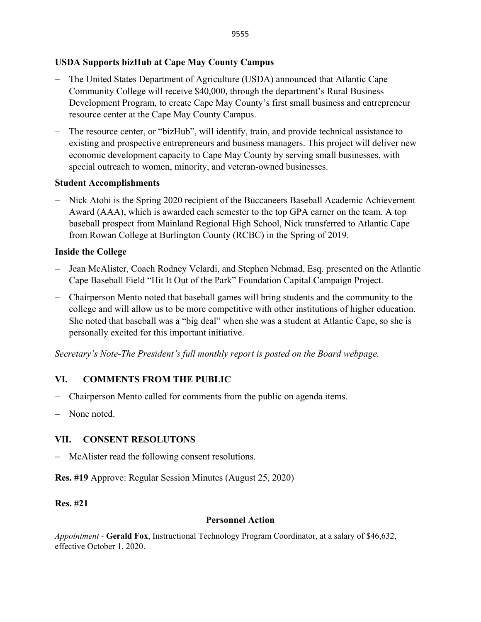# **USDA Supports bizHub at Cape May County Campus**

- − The United States Department of Agriculture (USDA) announced that Atlantic Cape Community College will receive \$40,000, through the department's Rural Business Development Program, to create Cape May County's first small business and entrepreneur resource center at the Cape May County Campus.
- The resource center, or "bizHub", will identify, train, and provide technical assistance to existing and prospective entrepreneurs and business managers. This project will deliver new economic development capacity to Cape May County by serving small businesses, with special outreach to women, minority, and veteran-owned businesses.

#### **Student Accomplishments**

− Nick Atohi is the Spring 2020 recipient of the Buccaneers Baseball Academic Achievement Award (AAA), which is awarded each semester to the top GPA earner on the team. A top baseball prospect from Mainland Regional High School, Nick transferred to Atlantic Cape from Rowan College at Burlington County (RCBC) in the Spring of 2019.

#### **Inside the College**

- − Jean McAlister, Coach Rodney Velardi, and Stephen Nehmad, Esq. presented on the Atlantic Cape Baseball Field "Hit It Out of the Park" Foundation Capital Campaign Project.
- − Chairperson Mento noted that baseball games will bring students and the community to the college and will allow us to be more competitive with other institutions of higher education. She noted that baseball was a "big deal" when she was a student at Atlantic Cape, so she is personally excited for this important initiative.

*Secretary's Note-The President's full monthly report is posted on the Board webpage.*

#### **VI. COMMENTS FROM THE PUBLIC**

- − Chairperson Mento called for comments from the public on agenda items.
- − None noted.

#### **VII. CONSENT RESOLUTONS**

− McAlister read the following consent resolutions.

**Res. #19** Approve: Regular Session Minutes (August 25, 2020)

#### **Res. #21**

#### **Personnel Action**

*Appointment -* **Gerald Fox**, Instructional Technology Program Coordinator, at a salary of \$46,632, effective October 1, 2020.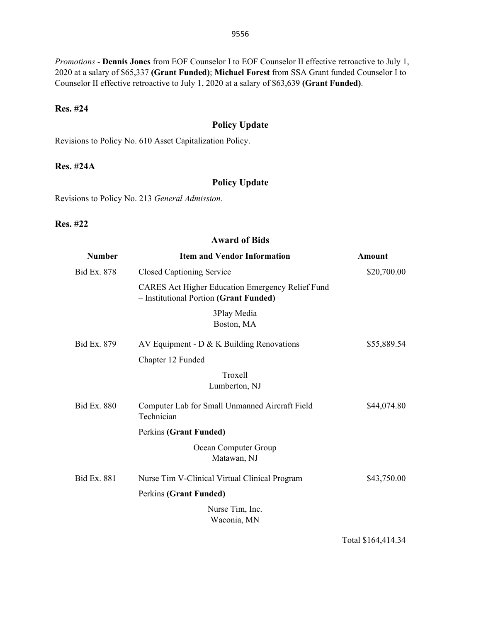*Promotions -* **Dennis Jones** from EOF Counselor I to EOF Counselor II effective retroactive to July 1, 2020 at a salary of \$65,337 **(Grant Funded)**; **Michael Forest** from SSA Grant funded Counselor I to Counselor II effective retroactive to July 1, 2020 at a salary of \$63,639 **(Grant Funded)**.

#### **Res. #24**

#### **Policy Update**

Revisions to Policy No. 610 Asset Capitalization Policy.

#### **Res. #24A**

### **Policy Update**

Revisions to Policy No. 213 *General Admission.*

#### **Res. #22**

#### **Award of Bids**

| <b>Number</b>      | <b>Item and Vendor Information</b>                                                                | Amount      |
|--------------------|---------------------------------------------------------------------------------------------------|-------------|
| <b>Bid Ex. 878</b> | Closed Captioning Service                                                                         | \$20,700.00 |
|                    | <b>CARES Act Higher Education Emergency Relief Fund</b><br>- Institutional Portion (Grant Funded) |             |
|                    | 3Play Media<br>Boston, MA                                                                         |             |
| Bid Ex. 879        | AV Equipment - $D \& K$ Building Renovations                                                      | \$55,889.54 |
|                    | Chapter 12 Funded                                                                                 |             |
|                    | Troxell<br>Lumberton, NJ                                                                          |             |
| <b>Bid Ex. 880</b> | Computer Lab for Small Unmanned Aircraft Field<br>Technician                                      | \$44,074.80 |
|                    | Perkins (Grant Funded)                                                                            |             |
|                    | Ocean Computer Group<br>Matawan, NJ                                                               |             |
| <b>Bid Ex. 881</b> | Nurse Tim V-Clinical Virtual Clinical Program                                                     | \$43,750.00 |
|                    | Perkins (Grant Funded)                                                                            |             |
|                    | Nurse Tim, Inc.<br>Waconia, MN                                                                    |             |

Total \$164,414.34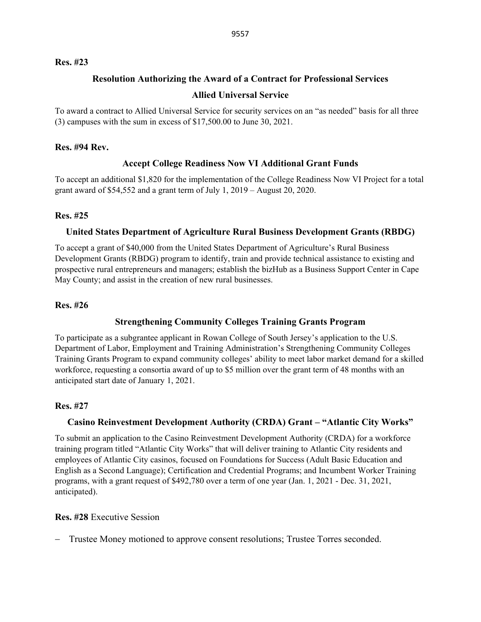#### **Res. #23**

### **Resolution Authorizing the Award of a Contract for Professional Services**

#### **Allied Universal Service**

To award a contract to Allied Universal Service for security services on an "as needed" basis for all three (3) campuses with the sum in excess of \$17,500.00 to June 30, 2021.

#### **Res. #94 Rev.**

# **Accept College Readiness Now VI Additional Grant Funds**

To accept an additional \$1,820 for the implementation of the College Readiness Now VI Project for a total grant award of \$54,552 and a grant term of July 1, 2019 – August 20, 2020.

### **Res. #25**

### **United States Department of Agriculture Rural Business Development Grants (RBDG)**

To accept a grant of \$40,000 from the United States Department of Agriculture's Rural Business Development Grants (RBDG) program to identify, train and provide technical assistance to existing and prospective rural entrepreneurs and managers; establish the bizHub as a Business Support Center in Cape May County; and assist in the creation of new rural businesses.

#### **Res. #26**

# **Strengthening Community Colleges Training Grants Program**

To participate as a subgrantee applicant in Rowan College of South Jersey's application to the U.S. Department of Labor, Employment and Training Administration's Strengthening Community Colleges Training Grants Program to expand community colleges' ability to meet labor market demand for a skilled workforce, requesting a consortia award of up to \$5 million over the grant term of 48 months with an anticipated start date of January 1, 2021.

#### **Res. #27**

# **Casino Reinvestment Development Authority (CRDA) Grant – "Atlantic City Works"**

To submit an application to the Casino Reinvestment Development Authority (CRDA) for a workforce training program titled "Atlantic City Works" that will deliver training to Atlantic City residents and employees of Atlantic City casinos, focused on Foundations for Success (Adult Basic Education and English as a Second Language); Certification and Credential Programs; and Incumbent Worker Training programs, with a grant request of \$492,780 over a term of one year (Jan. 1, 2021 - Dec. 31, 2021, anticipated).

#### **Res. #28** Executive Session

Trustee Money motioned to approve consent resolutions; Trustee Torres seconded.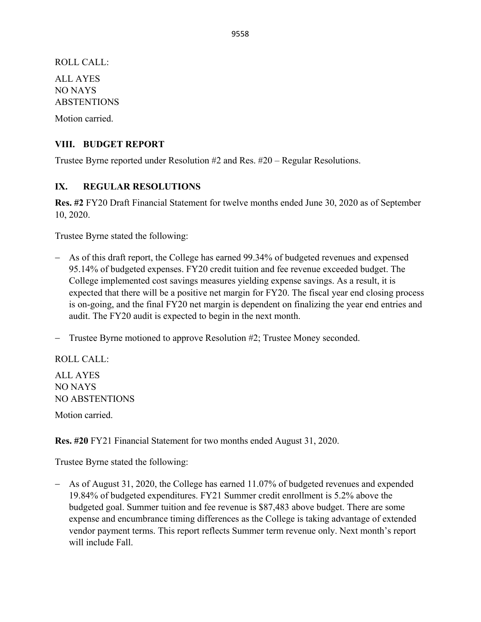ROLL CALL: ALL AYES NO NAYS ABSTENTIONS Motion carried.

## **VIII. BUDGET REPORT**

Trustee Byrne reported under Resolution #2 and Res. #20 – Regular Resolutions.

# **IX. REGULAR RESOLUTIONS**

**Res. #2** FY20 Draft Financial Statement for twelve months ended June 30, 2020 as of September 10, 2020.

Trustee Byrne stated the following:

− As of this draft report, the College has earned 99.34% of budgeted revenues and expensed 95.14% of budgeted expenses. FY20 credit tuition and fee revenue exceeded budget. The College implemented cost savings measures yielding expense savings. As a result, it is expected that there will be a positive net margin for FY20. The fiscal year end closing process is on-going, and the final FY20 net margin is dependent on finalizing the year end entries and audit. The FY20 audit is expected to begin in the next month.

− Trustee Byrne motioned to approve Resolution #2; Trustee Money seconded.

ROLL CALL: ALL AYES NO NAYS NO ABSTENTIONS Motion carried.

**Res. #20** FY21 Financial Statement for two months ended August 31, 2020.

Trustee Byrne stated the following:

− As of August 31, 2020, the College has earned 11.07% of budgeted revenues and expended 19.84% of budgeted expenditures. FY21 Summer credit enrollment is 5.2% above the budgeted goal. Summer tuition and fee revenue is \$87,483 above budget. There are some expense and encumbrance timing differences as the College is taking advantage of extended vendor payment terms. This report reflects Summer term revenue only. Next month's report will include Fall.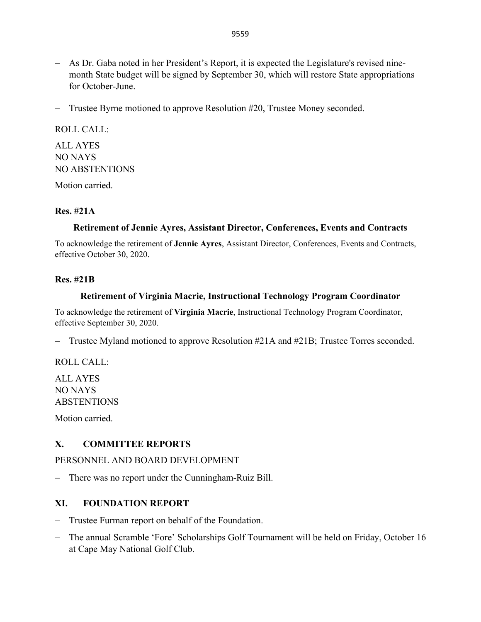- − As Dr. Gaba noted in her President's Report, it is expected the Legislature's revised ninemonth State budget will be signed by September 30, which will restore State appropriations for October-June.
- − Trustee Byrne motioned to approve Resolution #20, Trustee Money seconded.

ROLL CALL:

ALL AYES NO NAYS NO ABSTENTIONS

Motion carried.

# **Res. #21A**

# **Retirement of Jennie Ayres, Assistant Director, Conferences, Events and Contracts**

To acknowledge the retirement of **Jennie Ayres**, Assistant Director, Conferences, Events and Contracts, effective October 30, 2020.

### **Res. #21B**

### **Retirement of Virginia Macrie, Instructional Technology Program Coordinator**

To acknowledge the retirement of **Virginia Macrie**, Instructional Technology Program Coordinator, effective September 30, 2020.

− Trustee Myland motioned to approve Resolution #21A and #21B; Trustee Torres seconded.

ROLL CALL:

ALL AYES NO NAYS **ABSTENTIONS** 

Motion carried.

# **X. COMMITTEE REPORTS**

PERSONNEL AND BOARD DEVELOPMENT

− There was no report under the Cunningham-Ruiz Bill.

# **XI. FOUNDATION REPORT**

- − Trustee Furman report on behalf of the Foundation.
- − The annual Scramble 'Fore' Scholarships Golf Tournament will be held on Friday, October 16 at Cape May National Golf Club.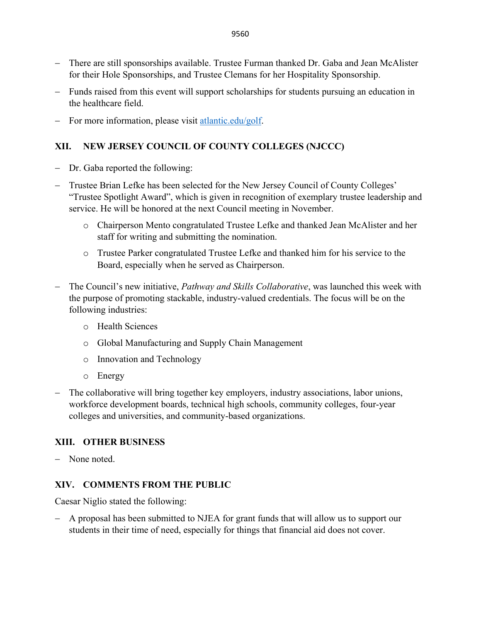- − There are still sponsorships available. Trustee Furman thanked Dr. Gaba and Jean McAlister for their Hole Sponsorships, and Trustee Clemans for her Hospitality Sponsorship.
- − Funds raised from this event will support scholarships for students pursuing an education in the healthcare field.
- − For more information, please visit [atlantic.edu/golf.](http://www.atlantic.edu/about/foundation/golf/index.php)

# **XII. NEW JERSEY COUNCIL OF COUNTY COLLEGES (NJCCC)**

- − Dr. Gaba reported the following:
- − Trustee Brian Lefke has been selected for the New Jersey Council of County Colleges' "Trustee Spotlight Award", which is given in recognition of exemplary trustee leadership and service. He will be honored at the next Council meeting in November.
	- o Chairperson Mento congratulated Trustee Lefke and thanked Jean McAlister and her staff for writing and submitting the nomination.
	- o Trustee Parker congratulated Trustee Lefke and thanked him for his service to the Board, especially when he served as Chairperson.
- The Council's new initiative, *Pathway and Skills Collaborative*, was launched this week with the purpose of promoting stackable, industry-valued credentials. The focus will be on the following industries:
	- o Health Sciences
	- o Global Manufacturing and Supply Chain Management
	- o Innovation and Technology
	- o Energy
- − The collaborative will bring together key employers, industry associations, labor unions, workforce development boards, technical high schools, community colleges, four-year colleges and universities, and community-based organizations.

# **XIII. OTHER BUSINESS**

− None noted.

# **XIV. COMMENTS FROM THE PUBLIC**

Caesar Niglio stated the following:

− A proposal has been submitted to NJEA for grant funds that will allow us to support our students in their time of need, especially for things that financial aid does not cover.